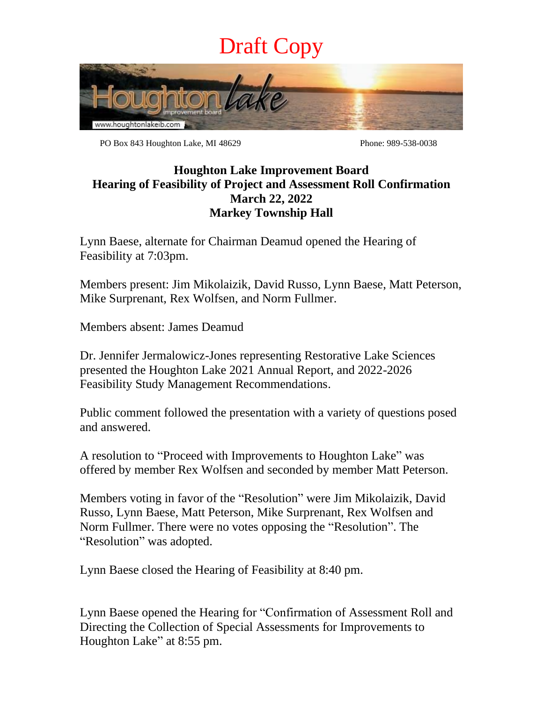## Draft Copy



PO Box 843 Houghton Lake, MI 48629 Phone: 989-538-0038

## **Houghton Lake Improvement Board Hearing of Feasibility of Project and Assessment Roll Confirmation March 22, 2022 Markey Township Hall**

Lynn Baese, alternate for Chairman Deamud opened the Hearing of Feasibility at 7:03pm.

Members present: Jim Mikolaizik, David Russo, Lynn Baese, Matt Peterson, Mike Surprenant, Rex Wolfsen, and Norm Fullmer.

Members absent: James Deamud

Dr. Jennifer Jermalowicz-Jones representing Restorative Lake Sciences presented the Houghton Lake 2021 Annual Report, and 2022-2026 Feasibility Study Management Recommendations.

Public comment followed the presentation with a variety of questions posed and answered.

A resolution to "Proceed with Improvements to Houghton Lake" was offered by member Rex Wolfsen and seconded by member Matt Peterson.

Members voting in favor of the "Resolution" were Jim Mikolaizik, David Russo, Lynn Baese, Matt Peterson, Mike Surprenant, Rex Wolfsen and Norm Fullmer. There were no votes opposing the "Resolution". The "Resolution" was adopted.

Lynn Baese closed the Hearing of Feasibility at 8:40 pm.

Lynn Baese opened the Hearing for "Confirmation of Assessment Roll and Directing the Collection of Special Assessments for Improvements to Houghton Lake" at 8:55 pm.